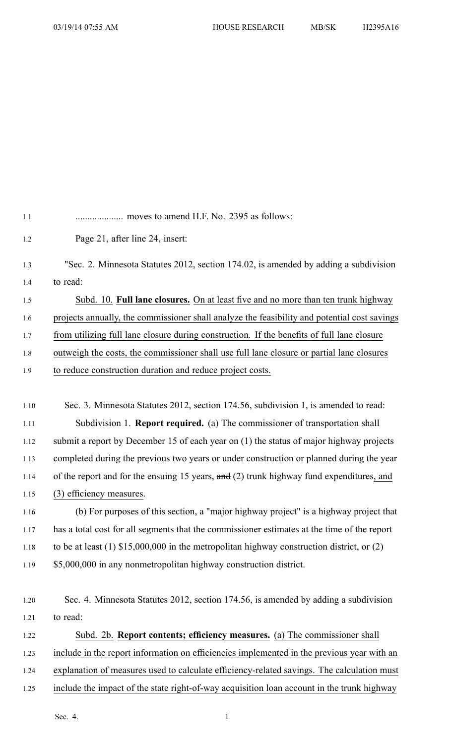| 1.1  |                                                                                               |
|------|-----------------------------------------------------------------------------------------------|
| 1.2  | Page 21, after line 24, insert:                                                               |
| 1.3  | "Sec. 2. Minnesota Statutes 2012, section 174.02, is amended by adding a subdivision          |
| 1.4  | to read:                                                                                      |
| 1.5  | Subd. 10. Full lane closures. On at least five and no more than ten trunk highway             |
| 1.6  | projects annually, the commissioner shall analyze the feasibility and potential cost savings  |
| 1.7  | from utilizing full lane closure during construction. If the benefits of full lane closure    |
| 1.8  | outweigh the costs, the commissioner shall use full lane closure or partial lane closures     |
| 1.9  | to reduce construction duration and reduce project costs.                                     |
|      |                                                                                               |
| 1.10 | Sec. 3. Minnesota Statutes 2012, section 174.56, subdivision 1, is amended to read:           |
| 1.11 | Subdivision 1. <b>Report required.</b> (a) The commissioner of transportation shall           |
| 1.12 | submit a report by December 15 of each year on (1) the status of major highway projects       |
| 1.13 | completed during the previous two years or under construction or planned during the year      |
| 1.14 | of the report and for the ensuing 15 years, and (2) trunk highway fund expenditures, and      |
| 1.15 | (3) efficiency measures.                                                                      |
| 1.16 | (b) For purposes of this section, a "major highway project" is a highway project that         |
| 1.17 | has a total cost for all segments that the commissioner estimates at the time of the report   |
| 1.18 | to be at least $(1)$ \$15,000,000 in the metropolitan highway construction district, or $(2)$ |
| 1.19 | \$5,000,000 in any nonmetropolitan highway construction district.                             |
|      |                                                                                               |
| 1.20 | Sec. 4. Minnesota Statutes 2012, section 174.56, is amended by adding a subdivision           |
| 1.21 | to read:                                                                                      |
| 1.22 | Subd. 2b. Report contents; efficiency measures. (a) The commissioner shall                    |
| 1.23 | include in the report information on efficiencies implemented in the previous year with an    |
| 1.24 | explanation of measures used to calculate efficiency-related savings. The calculation must    |
| 1.25 | include the impact of the state right-of-way acquisition loan account in the trunk highway    |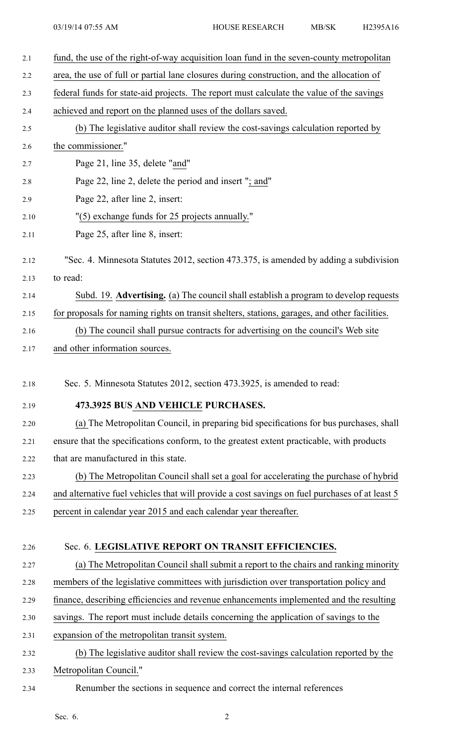| 2.1  | fund, the use of the right-of-way acquisition loan fund in the seven-county metropolitan                                                                                          |
|------|-----------------------------------------------------------------------------------------------------------------------------------------------------------------------------------|
| 2.2  | area, the use of full or partial lane closures during construction, and the allocation of                                                                                         |
| 2.3  | federal funds for state-aid projects. The report must calculate the value of the savings                                                                                          |
| 2.4  | achieved and report on the planned uses of the dollars saved.                                                                                                                     |
| 2.5  | (b) The legislative auditor shall review the cost-savings calculation reported by                                                                                                 |
| 2.6  | the commissioner."                                                                                                                                                                |
| 2.7  | Page 21, line 35, delete "and"                                                                                                                                                    |
| 2.8  | Page 22, line 2, delete the period and insert "; and"                                                                                                                             |
| 2.9  | Page 22, after line 2, insert:                                                                                                                                                    |
| 2.10 | "(5) exchange funds for 25 projects annually."                                                                                                                                    |
| 2.11 | Page 25, after line 8, insert:                                                                                                                                                    |
| 2.12 | "Sec. 4. Minnesota Statutes 2012, section 473.375, is amended by adding a subdivision                                                                                             |
| 2.13 | to read:                                                                                                                                                                          |
| 2.14 | Subd. 19. Advertising. (a) The council shall establish a program to develop requests                                                                                              |
| 2.15 | for proposals for naming rights on transit shelters, stations, garages, and other facilities.                                                                                     |
| 2.16 | (b) The council shall pursue contracts for advertising on the council's Web site                                                                                                  |
| 2.17 | and other information sources.                                                                                                                                                    |
|      |                                                                                                                                                                                   |
| 2.18 | Sec. 5. Minnesota Statutes 2012, section 473.3925, is amended to read:                                                                                                            |
| 2.19 | 473.3925 BUS AND VEHICLE PURCHASES.                                                                                                                                               |
| 2.20 | (a) The Metropolitan Council, in preparing bid specifications for bus purchases, shall                                                                                            |
| 2.21 | ensure that the specifications conform, to the greatest extent practicable, with products                                                                                         |
| 2.22 | that are manufactured in this state.                                                                                                                                              |
| 2.23 | (b) The Metropolitan Council shall set a goal for accelerating the purchase of hybrid                                                                                             |
| 2.24 | and alternative fuel vehicles that will provide a cost savings on fuel purchases of at least 5                                                                                    |
| 2.25 | percent in calendar year 2015 and each calendar year thereafter.                                                                                                                  |
| 2.26 |                                                                                                                                                                                   |
| 2.27 | Sec. 6. LEGISLATIVE REPORT ON TRANSIT EFFICIENCIES.                                                                                                                               |
| 2.28 | (a) The Metropolitan Council shall submit a report to the chairs and ranking minority                                                                                             |
| 2.29 | members of the legislative committees with jurisdiction over transportation policy and<br>finance, describing efficiencies and revenue enhancements implemented and the resulting |
| 2.30 |                                                                                                                                                                                   |
| 2.31 | savings. The report must include details concerning the application of savings to the<br>expansion of the metropolitan transit system.                                            |
| 2.32 | (b) The legislative auditor shall review the cost-savings calculation reported by the                                                                                             |
| 2.33 | Metropolitan Council."                                                                                                                                                            |